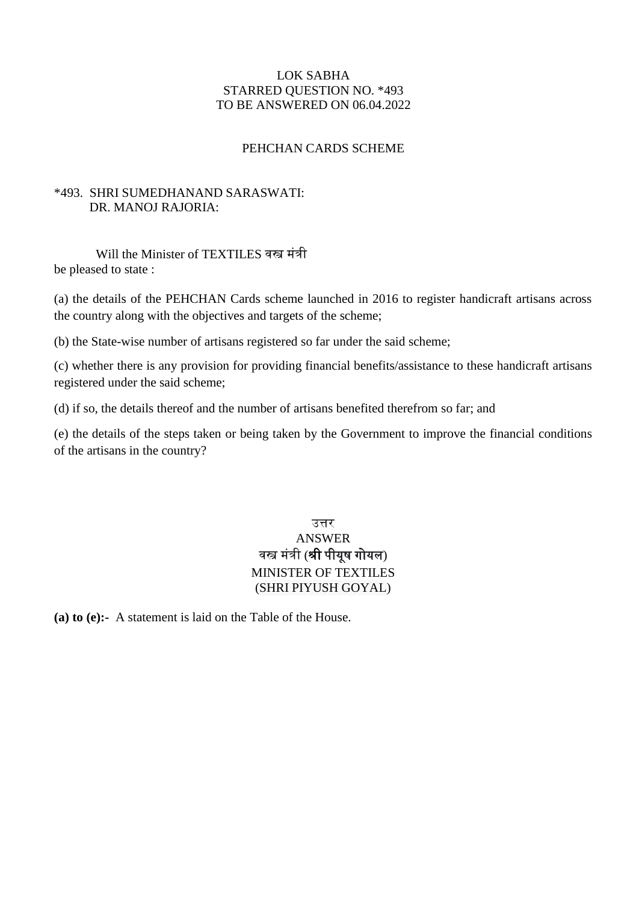### LOK SABHA STARRED QUESTION NO. \*493 TO BE ANSWERED ON 06.04.2022

### PEHCHAN CARDS SCHEME

### \*493. SHRI SUMEDHANAND SARASWATI: DR. MANOJ RAJORIA:

Will the Minister of TEXTILES वस्त्र मंत्री be pleased to state :

(a) the details of the PEHCHAN Cards scheme launched in 2016 to register handicraft artisans across the country along with the objectives and targets of the scheme;

(b) the State-wise number of artisans registered so far under the said scheme;

(c) whether there is any provision for providing financial benefits/assistance to these handicraft artisans registered under the said scheme;

(d) if so, the details thereof and the number of artisans benefited therefrom so far; and

(e) the details of the steps taken or being taken by the Government to improve the financial conditions of the artisans in the country?

## उत्तर ANSWER वस्त्र मंत्री (श्री पीयूष गोयल) MINISTER OF TEXTILES (SHRI PIYUSH GOYAL)

**(a) to (e):-** A statement is laid on the Table of the House.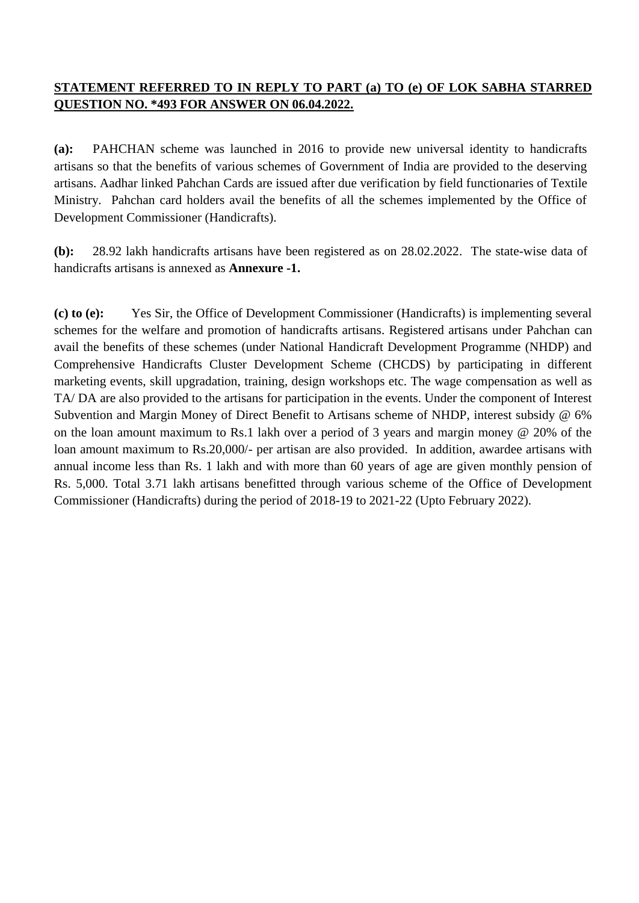# **STATEMENT REFERRED TO IN REPLY TO PART (a) TO (e) OF LOK SABHA STARRED QUESTION NO. \*493 FOR ANSWER ON 06.04.2022.**

**(a):** PAHCHAN scheme was launched in 2016 to provide new universal identity to handicrafts artisans so that the benefits of various schemes of Government of India are provided to the deserving artisans. Aadhar linked Pahchan Cards are issued after due verification by field functionaries of Textile Ministry. Pahchan card holders avail the benefits of all the schemes implemented by the Office of Development Commissioner (Handicrafts).

**(b):** 28.92 lakh handicrafts artisans have been registered as on 28.02.2022. The state-wise data of handicrafts artisans is annexed as **Annexure -1.**

**(c) to (e):** Yes Sir, the Office of Development Commissioner (Handicrafts) is implementing several schemes for the welfare and promotion of handicrafts artisans. Registered artisans under Pahchan can avail the benefits of these schemes (under National Handicraft Development Programme (NHDP) and Comprehensive Handicrafts Cluster Development Scheme (CHCDS) by participating in different marketing events, skill upgradation, training, design workshops etc. The wage compensation as well as TA/ DA are also provided to the artisans for participation in the events. Under the component of Interest Subvention and Margin Money of Direct Benefit to Artisans scheme of NHDP, interest subsidy @ 6% on the loan amount maximum to Rs.1 lakh over a period of 3 years and margin money @ 20% of the loan amount maximum to Rs.20,000/- per artisan are also provided. In addition, awardee artisans with annual income less than Rs. 1 lakh and with more than 60 years of age are given monthly pension of Rs. 5,000. Total 3.71 lakh artisans benefitted through various scheme of the Office of Development Commissioner (Handicrafts) during the period of 2018-19 to 2021-22 (Upto February 2022).